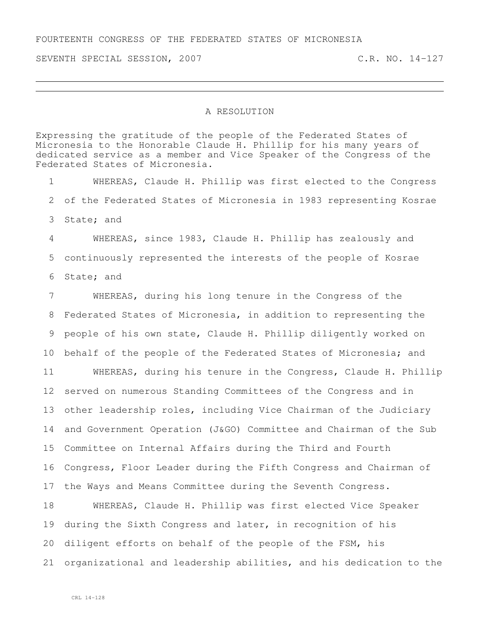SEVENTH SPECIAL SESSION, 2007 C.R. NO. 14-127

## A RESOLUTION

Expressing the gratitude of the people of the Federated States of Micronesia to the Honorable Claude H. Phillip for his many years of dedicated service as a member and Vice Speaker of the Congress of the Federated States of Micronesia. WHEREAS, Claude H. Phillip was first elected to the Congress of the Federated States of Micronesia in 1983 representing Kosrae State; and WHEREAS, since 1983, Claude H. Phillip has zealously and continuously represented the interests of the people of Kosrae State; and WHEREAS, during his long tenure in the Congress of the Federated States of Micronesia, in addition to representing the people of his own state, Claude H. Phillip diligently worked on behalf of the people of the Federated States of Micronesia; and WHEREAS, during his tenure in the Congress, Claude H. Phillip served on numerous Standing Committees of the Congress and in other leadership roles, including Vice Chairman of the Judiciary and Government Operation (J&GO) Committee and Chairman of the Sub Committee on Internal Affairs during the Third and Fourth Congress, Floor Leader during the Fifth Congress and Chairman of the Ways and Means Committee during the Seventh Congress. WHEREAS, Claude H. Phillip was first elected Vice Speaker

 during the Sixth Congress and later, in recognition of his diligent efforts on behalf of the people of the FSM, his organizational and leadership abilities, and his dedication to the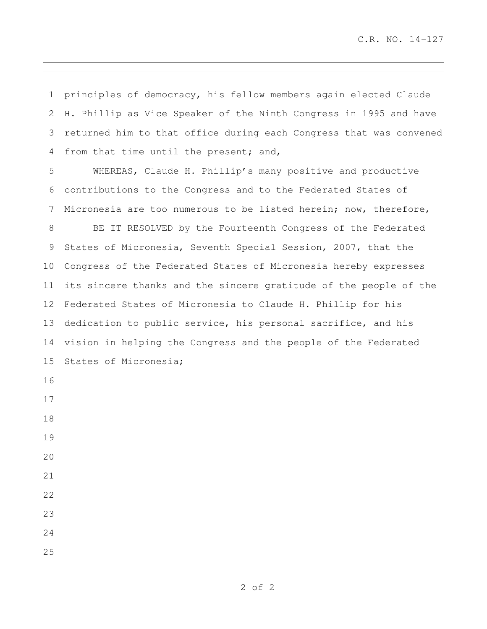principles of democracy, his fellow members again elected Claude H. Phillip as Vice Speaker of the Ninth Congress in 1995 and have returned him to that office during each Congress that was convened from that time until the present; and,

 WHEREAS, Claude H. Phillip's many positive and productive contributions to the Congress and to the Federated States of Micronesia are too numerous to be listed herein; now, therefore,

 BE IT RESOLVED by the Fourteenth Congress of the Federated States of Micronesia, Seventh Special Session, 2007, that the Congress of the Federated States of Micronesia hereby expresses its sincere thanks and the sincere gratitude of the people of the Federated States of Micronesia to Claude H. Phillip for his dedication to public service, his personal sacrifice, and his vision in helping the Congress and the people of the Federated States of Micronesia;

- 
- 
- 
- 
- 
- 
- 
- 

- 
- 

of 2